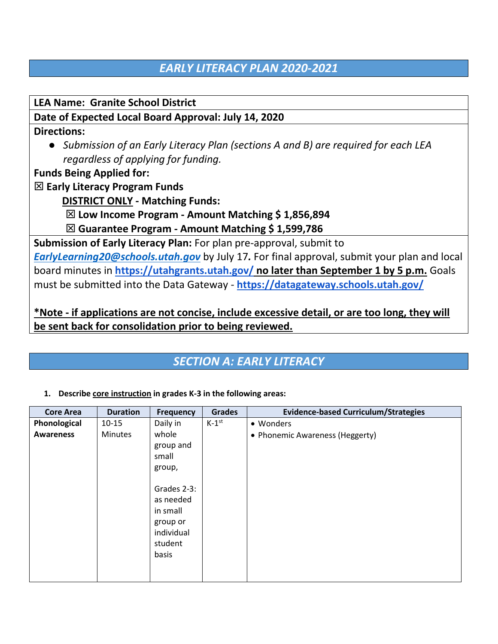## *EARLY LITERACY PLAN 2020-2021*

| <b>LEA Name: Granite School District</b>                                                           |
|----------------------------------------------------------------------------------------------------|
| Date of Expected Local Board Approval: July 14, 2020                                               |
| <b>Directions:</b>                                                                                 |
| • Submission of an Early Literacy Plan (sections A and B) are required for each LEA                |
| regardless of applying for funding.                                                                |
| <b>Funds Being Applied for:</b>                                                                    |
| $\boxtimes$ Early Literacy Program Funds                                                           |
| <b>DISTRICT ONLY - Matching Funds:</b>                                                             |
| $\boxtimes$ Low Income Program - Amount Matching \$ 1,856,894                                      |
| $\boxtimes$ Guarantee Program - Amount Matching \$ 1,599,786                                       |
| Submission of Early Literacy Plan: For plan pre-approval, submit to                                |
| <b>EarlyLearning20@schools.utah.gov</b> by July 17. For final approval, submit your plan and local |
| board minutes in https://utahgrants.utah.gov/ no later than September 1 by 5 p.m. Goals            |
| must be submitted into the Data Gateway - https://datagateway.schools.utah.gov/                    |

**\*Note - if applications are not concise, include excessive detail, or are too long, they will be sent back for consolidation prior to being reviewed.** 

## *SECTION A: EARLY LITERACY*

**1. Describe core instruction in grades K-3 in the following areas:** 

| <b>Core Area</b> | <b>Duration</b> | <b>Frequency</b> | <b>Grades</b> | <b>Evidence-based Curriculum/Strategies</b> |
|------------------|-----------------|------------------|---------------|---------------------------------------------|
| Phonological     | $10 - 15$       | Daily in         | $K-1^{st}$    | • Wonders                                   |
| <b>Awareness</b> | <b>Minutes</b>  | whole            |               | • Phonemic Awareness (Heggerty)             |
|                  |                 | group and        |               |                                             |
|                  |                 | small            |               |                                             |
|                  |                 | group,           |               |                                             |
|                  |                 |                  |               |                                             |
|                  |                 | Grades 2-3:      |               |                                             |
|                  |                 | as needed        |               |                                             |
|                  |                 | in small         |               |                                             |
|                  |                 | group or         |               |                                             |
|                  |                 | individual       |               |                                             |
|                  |                 | student          |               |                                             |
|                  |                 | basis            |               |                                             |
|                  |                 |                  |               |                                             |
|                  |                 |                  |               |                                             |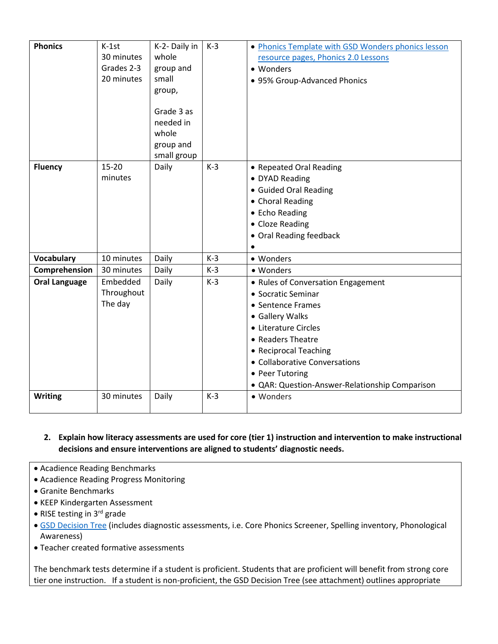| <b>Phonics</b>       | $K-1st$<br>30 minutes<br>Grades 2-3<br>20 minutes | K-2-Daily in<br>whole<br>group and<br>small<br>group,<br>Grade 3 as<br>needed in<br>whole<br>group and<br>small group | $K-3$ | • Phonics Template with GSD Wonders phonics lesson<br>resource pages, Phonics 2.0 Lessons<br>• Wonders<br>• 95% Group-Advanced Phonics                                                                                                                                       |
|----------------------|---------------------------------------------------|-----------------------------------------------------------------------------------------------------------------------|-------|------------------------------------------------------------------------------------------------------------------------------------------------------------------------------------------------------------------------------------------------------------------------------|
| <b>Fluency</b>       | $15 - 20$<br>minutes                              | Daily                                                                                                                 | $K-3$ | • Repeated Oral Reading<br>• DYAD Reading<br>• Guided Oral Reading<br>• Choral Reading<br>• Echo Reading<br>• Cloze Reading<br>• Oral Reading feedback                                                                                                                       |
| <b>Vocabulary</b>    | 10 minutes                                        | Daily                                                                                                                 | $K-3$ | • Wonders                                                                                                                                                                                                                                                                    |
| Comprehension        | 30 minutes                                        | Daily                                                                                                                 | $K-3$ | • Wonders                                                                                                                                                                                                                                                                    |
| <b>Oral Language</b> | Embedded<br>Throughout<br>The day                 | Daily                                                                                                                 | $K-3$ | • Rules of Conversation Engagement<br>• Socratic Seminar<br>• Sentence Frames<br>• Gallery Walks<br>• Literature Circles<br>• Readers Theatre<br>• Reciprocal Teaching<br>• Collaborative Conversations<br>• Peer Tutoring<br>• QAR: Question-Answer-Relationship Comparison |
| <b>Writing</b>       | 30 minutes                                        | Daily                                                                                                                 | $K-3$ | • Wonders                                                                                                                                                                                                                                                                    |

#### **2. Explain how literacy assessments are used for core (tier 1) instruction and intervention to make instructional decisions and ensure interventions are aligned to students' diagnostic needs.**

- Acadience Reading Benchmarks
- Acadience Reading Progress Monitoring
- Granite Benchmarks
- KEEP Kindergarten Assessment
- RISE testing in 3<sup>rd</sup> grade
- [GSD Decision Tree](#page-5-0) (includes diagnostic assessments, i.e. Core Phonics Screener, Spelling inventory, Phonological Awareness)
- Teacher created formative assessments

The benchmark tests determine if a student is proficient. Students that are proficient will benefit from strong core tier one instruction. If a student is non-proficient, the GSD Decision Tree (see attachment) outlines appropriate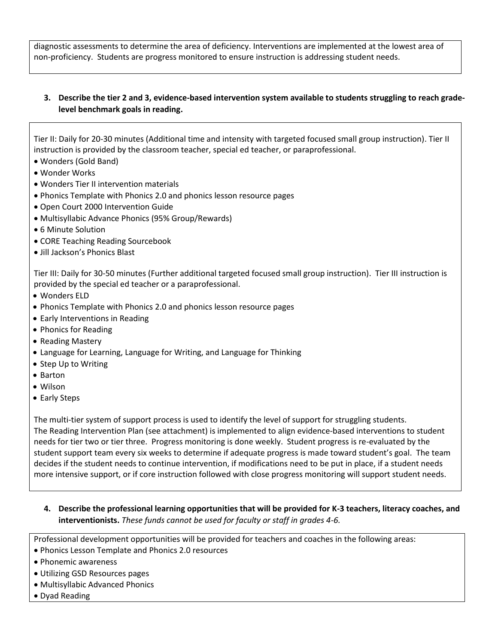diagnostic assessments to determine the area of deficiency. Interventions are implemented at the lowest area of non-proficiency. Students are progress monitored to ensure instruction is addressing student needs.

#### **3. Describe the tier 2 and 3, evidence-based intervention system available to students struggling to reach gradelevel benchmark goals in reading.**

Tier II: Daily for 20-30 minutes (Additional time and intensity with targeted focused small group instruction). Tier II instruction is provided by the classroom teacher, special ed teacher, or paraprofessional.

- Wonders (Gold Band)
- Wonder Works
- Wonders Tier II intervention materials
- Phonics Template with Phonics 2.0 and phonics lesson resource pages
- Open Court 2000 Intervention Guide
- Multisyllabic Advance Phonics (95% Group/Rewards)
- 6 Minute Solution
- CORE Teaching Reading Sourcebook
- Jill Jackson's Phonics Blast

Tier III: Daily for 30-50 minutes (Further additional targeted focused small group instruction). Tier III instruction is provided by the special ed teacher or a paraprofessional.

- Wonders ELD
- Phonics Template with Phonics 2.0 and phonics lesson resource pages
- Early Interventions in Reading
- Phonics for Reading
- Reading Mastery
- Language for Learning, Language for Writing, and Language for Thinking
- Step Up to Writing
- Barton
- Wilson
- Early Steps

The multi-tier system of support process is used to identify the level of support for struggling students. The Reading Intervention Plan (see attachment) is implemented to align evidence-based interventions to student needs for tier two or tier three. Progress monitoring is done weekly. Student progress is re-evaluated by the student support team every six weeks to determine if adequate progress is made toward student's goal. The team decides if the student needs to continue intervention, if modifications need to be put in place, if a student needs more intensive support, or if core instruction followed with close progress monitoring will support student needs.

**4. Describe the professional learning opportunities that will be provided for K-3 teachers, literacy coaches, and interventionists.** *These funds cannot be used for faculty or staff in grades 4-6.*

Professional development opportunities will be provided for teachers and coaches in the following areas:

- Phonics Lesson Template and Phonics 2.0 resources
- Phonemic awareness
- Utilizing GSD Resources pages
- Multisyllabic Advanced Phonics
- Dyad Reading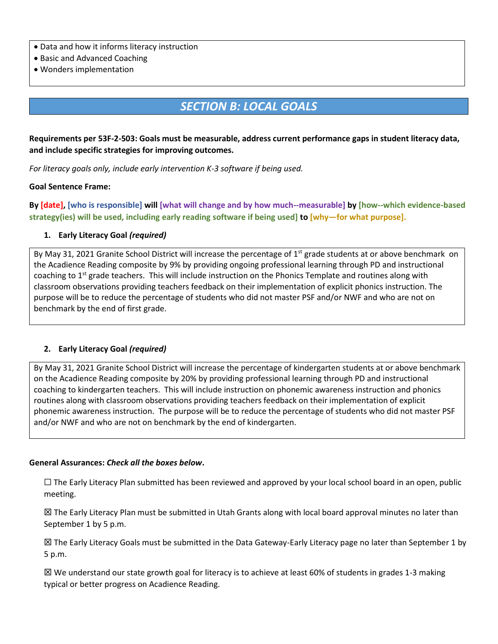• Data and how it informs literacy instruction

- Basic and Advanced Coaching
- Wonders implementation

### *SECTION B: LOCAL GOALS*

**Requirements per 53F-2-503: Goals must be measurable, address current performance gaps in student literacy data, and include specific strategies for improving outcomes.**

*For literacy goals only, include early intervention K-3 software if being used.* 

#### **Goal Sentence Frame:**

**By [date], [who is responsible] will [what will change and by how much--measurable] by [how--which evidence-based strategy(ies) will be used, including early reading software if being used] to [why—for what purpose].**

#### **1. Early Literacy Goal** *(required)*

By May 31, 2021 Granite School District will increase the percentage of 1<sup>st</sup> grade students at or above benchmark on the Acadience Reading composite by 9% by providing ongoing professional learning through PD and instructional coaching to 1<sup>st</sup> grade teachers. This will include instruction on the Phonics Template and routines along with classroom observations providing teachers feedback on their implementation of explicit phonics instruction. The purpose will be to reduce the percentage of students who did not master PSF and/or NWF and who are not on benchmark by the end of first grade.

#### **2. Early Literacy Goal** *(required)*

By May 31, 2021 Granite School District will increase the percentage of kindergarten students at or above benchmark on the Acadience Reading composite by 20% by providing professional learning through PD and instructional coaching to kindergarten teachers. This will include instruction on phonemic awareness instruction and phonics routines along with classroom observations providing teachers feedback on their implementation of explicit phonemic awareness instruction. The purpose will be to reduce the percentage of students who did not master PSF and/or NWF and who are not on benchmark by the end of kindergarten.

#### **General Assurances:** *Check all the boxes below***.**

 $\Box$  The Early Literacy Plan submitted has been reviewed and approved by your local school board in an open, public meeting.

⊠ The Early Literacy Plan must be submitted in Utah Grants along with local board approval minutes no later than September 1 by 5 p.m.

 $\boxtimes$  The Early Literacy Goals must be submitted in the Data Gateway-Early Literacy page no later than September 1 by 5 p.m.

 We understand our state growth goal for literacy is to achieve at least 60% of students in grades 1-3 making typical or better progress on Acadience Reading.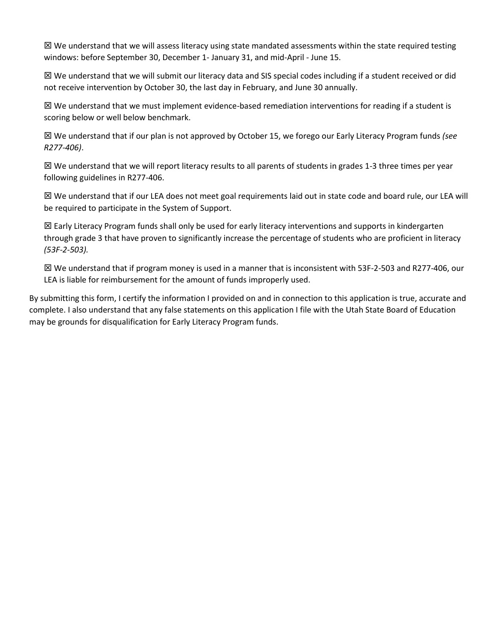$\boxtimes$  We understand that we will assess literacy using state mandated assessments within the state required testing windows: before September 30, December 1- January 31, and mid-April - June 15.

 $\boxtimes$  We understand that we will submit our literacy data and SIS special codes including if a student received or did not receive intervention by October 30, the last day in February, and June 30 annually.

 $\boxtimes$  We understand that we must implement evidence-based remediation interventions for reading if a student is scoring below or well below benchmark.

 We understand that if our plan is not approved by October 15, we forego our Early Literacy Program funds *(see R277-406)*.

 $\boxtimes$  We understand that we will report literacy results to all parents of students in grades 1-3 three times per year following guidelines in R277-406.

 We understand that if our LEA does not meet goal requirements laid out in state code and board rule, our LEA will be required to participate in the System of Support.

 $\boxtimes$  Early Literacy Program funds shall only be used for early literacy interventions and supports in kindergarten through grade 3 that have proven to significantly increase the percentage of students who are proficient in literacy *(53F-2-503).*

 We understand that if program money is used in a manner that is inconsistent with 53F-2-503 and R277-406, our LEA is liable for reimbursement for the amount of funds improperly used.

By submitting this form, I certify the information I provided on and in connection to this application is true, accurate and complete. I also understand that any false statements on this application I file with the Utah State Board of Education may be grounds for disqualification for Early Literacy Program funds.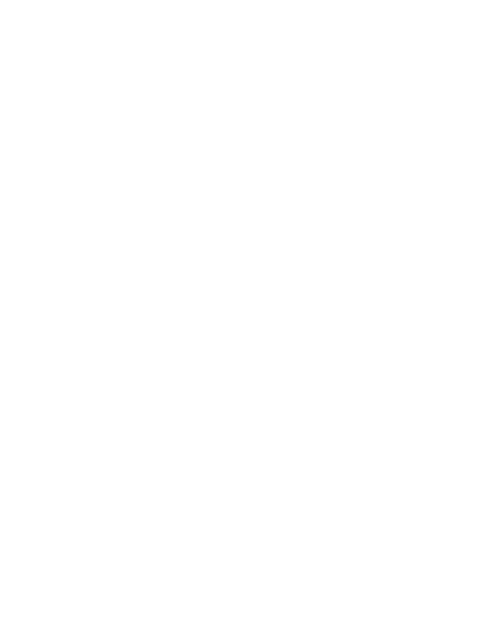<span id="page-5-0"></span>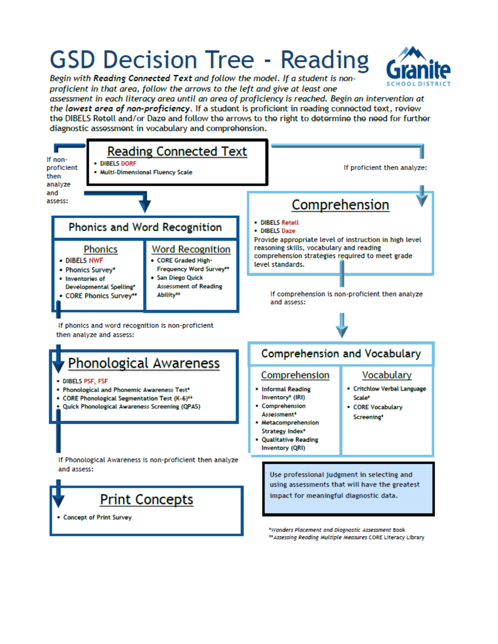# **GSD Decision Tree - Reading**

Begin with Reading Connected Text and follow the model. If a student is nonproficient in that area, follow the arrows to the left and give at least one

assessment in each literacy area until an area of proficiency is reached. Begin an intervention at the lowest area of non-proficiency. If a student is proficient in reading connected text, review

the DIBELS Retell and/or Daze and follow the arrows to the right to determine the need for further diagnostic assessment in vocabulary and comprehension.

<span id="page-6-0"></span>

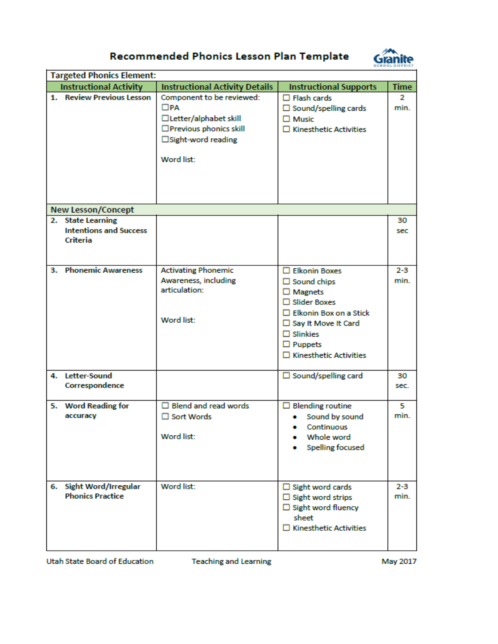

## Recommended Phonics Lesson Plan Template

| <b>Targeted Phonics Element:</b>                               |                                                                                                                                      |                                                                                                                                                                                                                        |                 |
|----------------------------------------------------------------|--------------------------------------------------------------------------------------------------------------------------------------|------------------------------------------------------------------------------------------------------------------------------------------------------------------------------------------------------------------------|-----------------|
| <b>Instructional Activity</b>                                  | <b>Instructional Activity Details</b>                                                                                                | <b>Instructional Supports</b>                                                                                                                                                                                          | <b>Time</b>     |
| 1. Review Previous Lesson                                      | Component to be reviewed:<br>$\square$ PA<br>□Letter/alphabet skill<br>□ Previous phonics skill<br>□Sight-word reading<br>Word list: | $\Box$ Flash cards<br>$\Box$ Sound/spelling cards<br>$\Box$ Music<br>$\Box$ Kinesthetic Activities                                                                                                                     | 2<br>min.       |
| <b>New Lesson/Concept</b>                                      |                                                                                                                                      |                                                                                                                                                                                                                        |                 |
| 2. State Learning<br><b>Intentions and Success</b><br>Criteria |                                                                                                                                      |                                                                                                                                                                                                                        | 30<br>sec       |
| 3. Phonemic Awareness                                          | <b>Activating Phonemic</b><br>Awareness, including<br>articulation:<br>Word list:                                                    | $\Box$ Elkonin Boxes<br>$\Box$ Sound chips<br>$\square$ Magnets<br>$\Box$ Slider Boxes<br>$\Box$ Elkonin Box on a Stick<br>□ Say It Move It Card<br>$\Box$ Slinkies<br>$\Box$ Puppets<br>$\Box$ Kinesthetic Activities | $2 - 3$<br>min. |
| 4. Letter-Sound<br>Correspondence                              |                                                                                                                                      | $\Box$ Sound/spelling card                                                                                                                                                                                             | 30<br>sec.      |
| 5. Word Reading for<br>accuracy                                | $\Box$ Blend and read words<br>$\square$ Sort Words<br>Word list:                                                                    | $\Box$ Blending routine<br>Sound by sound<br>Continuous<br>٠<br>Whole word<br><b>Spelling focused</b>                                                                                                                  | 5<br>min.       |
| 6. Sight Word/Irregular<br><b>Phonics Practice</b>             | Word list:                                                                                                                           | $\Box$ Sight word cards<br>$\Box$ Sight word strips<br>$\Box$ Sight word fluency<br>sheet<br>$\square$ Kinesthetic Activities                                                                                          | $2 - 3$<br>min. |

Utah State Board of Education

**Teaching and Learning**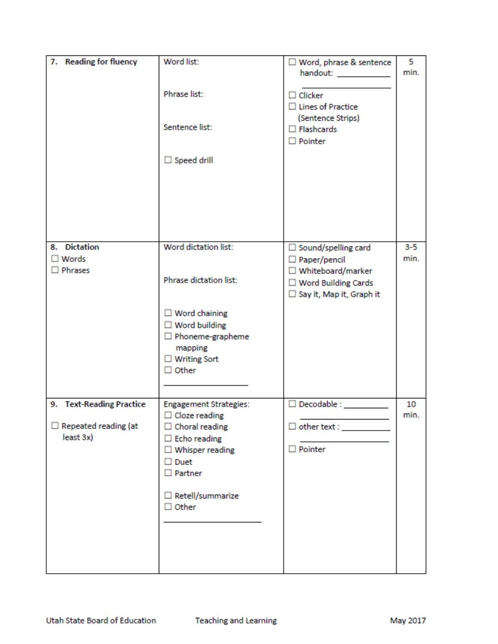| 7. Reading for fluency                                               | Word list:                                                                                                                                                                                                | □ Word, phrase & sentence<br>handout: and the state of the state of the state of the state of the state of the state of the state of the state of the state of the state of the state of the state of the state of the state of the state of the state of t | 5<br>min.     |
|----------------------------------------------------------------------|-----------------------------------------------------------------------------------------------------------------------------------------------------------------------------------------------------------|-------------------------------------------------------------------------------------------------------------------------------------------------------------------------------------------------------------------------------------------------------------|---------------|
|                                                                      | Phrase list:                                                                                                                                                                                              | Clicker<br>-1<br>$\square$ Lines of Practice                                                                                                                                                                                                                |               |
|                                                                      | Sentence list:                                                                                                                                                                                            | (Sentence Strips)<br>$\Box$ Flashcards<br>$\Box$ Pointer                                                                                                                                                                                                    |               |
|                                                                      | $\Box$ Speed drill                                                                                                                                                                                        |                                                                                                                                                                                                                                                             |               |
|                                                                      |                                                                                                                                                                                                           |                                                                                                                                                                                                                                                             |               |
|                                                                      |                                                                                                                                                                                                           |                                                                                                                                                                                                                                                             |               |
| 8. Dictation<br>$\square$ Words<br>$\square$ Phrases                 | Word dictation list:<br>Phrase dictation list:                                                                                                                                                            | $\Box$ Sound/spelling card<br>$\Box$ Paper/pencil<br>$\Box$ Whiteboard/marker<br>$\Box$ Word Building Cards<br>□ Say it, Map it, Graph it                                                                                                                   | $3-5$<br>min. |
|                                                                      | $\Box$ Word chaining<br>$\Box$ Word building<br>$\Box$ Phoneme-grapheme<br>mapping<br>$\Box$ Writing Sort<br>$\Box$ Other                                                                                 |                                                                                                                                                                                                                                                             |               |
| 9. Text-Reading Practice<br>$\Box$ Repeated reading (at<br>least 3x) | <b>Engagement Strategies:</b><br>$\Box$ Cloze reading<br>$\Box$ Choral reading<br>$\Box$ Echo reading<br>$\square$ Whisper reading<br>$\Box$ Duet<br>$\Box$ Partner<br>□ Retell/summarize<br>$\Box$ Other | $\square$ Decodable : $\square$<br>$\Box$ other text : $\_\_$<br>$\Box$ Pointer                                                                                                                                                                             | 10<br>min.    |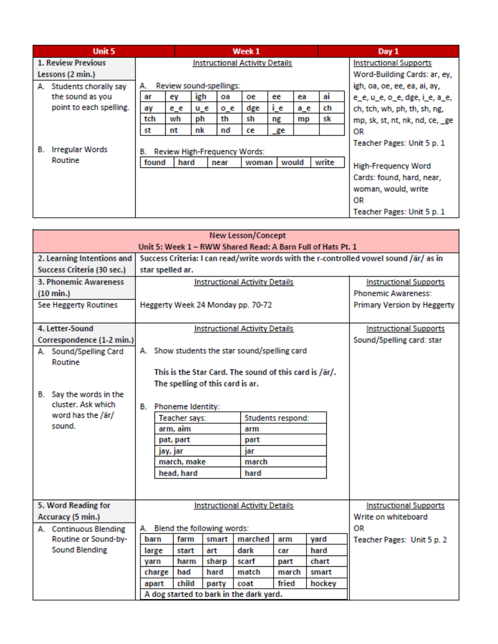| <b>Unit 5</b>                      |       |              | Week 1                                |       |       |       |     | Day 1                         |                                |
|------------------------------------|-------|--------------|---------------------------------------|-------|-------|-------|-----|-------------------------------|--------------------------------|
| <b>1. Review Previous</b>          |       |              | <b>Instructional Activity Details</b> |       |       |       |     | <b>Instructional Supports</b> |                                |
| Lessons (2 min.)                   |       |              |                                       |       |       |       |     |                               | Word-Building Cards: ar, ey,   |
| <b>Students chorally say</b><br>А. | А.    |              | Review sound-spellings:               |       |       |       |     | igh, oa, oe, ee, ea, ai, ay,  |                                |
| the sound as you                   | ar    | ey           | igh                                   | oa    | оe    | ee    | ea  | ai                            | e e, u e, o e, dge, i e, a e,  |
| point to each spelling.            | ay    | $e_{\perp}e$ | u_e                                   | $0_e$ | dge   | i_e.  | a_e | ch                            | ch, tch, wh, ph, th, sh, ng,   |
|                                    | tch   | wh           | ph                                    | th    | sh    | ng    | mp  | sk                            | mp, sk, st, nt, nk, nd, ce, ge |
|                                    | st    | nt           | nk                                    | nd    | ce    | _ge   |     |                               | OR                             |
|                                    |       |              |                                       |       |       |       |     |                               | Teacher Pages: Unit 5 p. 1     |
| <b>Irregular Words</b><br>В.       | В.    |              | Review High-Frequency Words:          |       |       |       |     |                               |                                |
| Routine                            | found | hard         |                                       | near  | woman | would |     | write                         | <b>High-Frequency Word</b>     |
|                                    |       |              |                                       |       |       |       |     |                               | Cards: found, hard, near,      |
|                                    |       |              |                                       |       |       |       |     |                               | woman, would, write            |
|                                    |       |              |                                       |       |       |       |     |                               | OR                             |
|                                    |       |              |                                       |       |       |       |     |                               | Teacher Pages: Unit 5 p. 1     |

| <b>New Lesson/Concept</b>  |                                          |                                                                                     |                                                                                                |                                                                                               |                                                                                                                                                                                                                                        |                                                                                                                                                                                                                                                                                                                         |
|----------------------------|------------------------------------------|-------------------------------------------------------------------------------------|------------------------------------------------------------------------------------------------|-----------------------------------------------------------------------------------------------|----------------------------------------------------------------------------------------------------------------------------------------------------------------------------------------------------------------------------------------|-------------------------------------------------------------------------------------------------------------------------------------------------------------------------------------------------------------------------------------------------------------------------------------------------------------------------|
| 2. Learning Intentions and |                                          |                                                                                     |                                                                                                |                                                                                               |                                                                                                                                                                                                                                        |                                                                                                                                                                                                                                                                                                                         |
|                            |                                          |                                                                                     |                                                                                                |                                                                                               |                                                                                                                                                                                                                                        |                                                                                                                                                                                                                                                                                                                         |
|                            |                                          |                                                                                     |                                                                                                |                                                                                               |                                                                                                                                                                                                                                        |                                                                                                                                                                                                                                                                                                                         |
|                            |                                          |                                                                                     |                                                                                                |                                                                                               |                                                                                                                                                                                                                                        | <b>Instructional Supports</b>                                                                                                                                                                                                                                                                                           |
|                            |                                          |                                                                                     |                                                                                                |                                                                                               |                                                                                                                                                                                                                                        | <b>Phonemic Awareness:</b>                                                                                                                                                                                                                                                                                              |
|                            |                                          |                                                                                     |                                                                                                |                                                                                               |                                                                                                                                                                                                                                        | <b>Primary Version by Heggerty</b>                                                                                                                                                                                                                                                                                      |
|                            |                                          |                                                                                     |                                                                                                |                                                                                               |                                                                                                                                                                                                                                        |                                                                                                                                                                                                                                                                                                                         |
|                            |                                          |                                                                                     |                                                                                                |                                                                                               |                                                                                                                                                                                                                                        | <b>Instructional Supports</b>                                                                                                                                                                                                                                                                                           |
|                            |                                          |                                                                                     |                                                                                                |                                                                                               |                                                                                                                                                                                                                                        | Sound/Spelling card: star                                                                                                                                                                                                                                                                                               |
|                            |                                          |                                                                                     |                                                                                                |                                                                                               |                                                                                                                                                                                                                                        |                                                                                                                                                                                                                                                                                                                         |
|                            |                                          |                                                                                     |                                                                                                |                                                                                               |                                                                                                                                                                                                                                        |                                                                                                                                                                                                                                                                                                                         |
|                            |                                          |                                                                                     |                                                                                                |                                                                                               |                                                                                                                                                                                                                                        |                                                                                                                                                                                                                                                                                                                         |
|                            |                                          |                                                                                     |                                                                                                |                                                                                               |                                                                                                                                                                                                                                        |                                                                                                                                                                                                                                                                                                                         |
|                            |                                          |                                                                                     |                                                                                                |                                                                                               |                                                                                                                                                                                                                                        |                                                                                                                                                                                                                                                                                                                         |
|                            |                                          |                                                                                     |                                                                                                |                                                                                               |                                                                                                                                                                                                                                        |                                                                                                                                                                                                                                                                                                                         |
|                            |                                          |                                                                                     |                                                                                                |                                                                                               |                                                                                                                                                                                                                                        |                                                                                                                                                                                                                                                                                                                         |
| arm, aim                   |                                          | arm                                                                                 |                                                                                                |                                                                                               |                                                                                                                                                                                                                                        |                                                                                                                                                                                                                                                                                                                         |
| pat, part                  |                                          | part                                                                                |                                                                                                |                                                                                               |                                                                                                                                                                                                                                        |                                                                                                                                                                                                                                                                                                                         |
|                            |                                          |                                                                                     | jar                                                                                            |                                                                                               |                                                                                                                                                                                                                                        |                                                                                                                                                                                                                                                                                                                         |
|                            |                                          |                                                                                     | march                                                                                          |                                                                                               |                                                                                                                                                                                                                                        |                                                                                                                                                                                                                                                                                                                         |
|                            |                                          |                                                                                     | hard                                                                                           |                                                                                               |                                                                                                                                                                                                                                        |                                                                                                                                                                                                                                                                                                                         |
|                            |                                          |                                                                                     |                                                                                                |                                                                                               |                                                                                                                                                                                                                                        |                                                                                                                                                                                                                                                                                                                         |
|                            |                                          |                                                                                     |                                                                                                |                                                                                               |                                                                                                                                                                                                                                        | <b>Instructional Supports</b>                                                                                                                                                                                                                                                                                           |
|                            |                                          |                                                                                     |                                                                                                |                                                                                               |                                                                                                                                                                                                                                        | Write on whiteboard                                                                                                                                                                                                                                                                                                     |
|                            |                                          | OR                                                                                  |                                                                                                |                                                                                               |                                                                                                                                                                                                                                        |                                                                                                                                                                                                                                                                                                                         |
|                            |                                          |                                                                                     |                                                                                                |                                                                                               |                                                                                                                                                                                                                                        | Teacher Pages: Unit 5 p. 2                                                                                                                                                                                                                                                                                              |
|                            |                                          |                                                                                     |                                                                                                |                                                                                               |                                                                                                                                                                                                                                        |                                                                                                                                                                                                                                                                                                                         |
|                            |                                          |                                                                                     |                                                                                                |                                                                                               |                                                                                                                                                                                                                                        |                                                                                                                                                                                                                                                                                                                         |
|                            |                                          |                                                                                     | match                                                                                          |                                                                                               | smart                                                                                                                                                                                                                                  |                                                                                                                                                                                                                                                                                                                         |
|                            |                                          |                                                                                     | coat                                                                                           | fried                                                                                         |                                                                                                                                                                                                                                        |                                                                                                                                                                                                                                                                                                                         |
|                            |                                          |                                                                                     |                                                                                                |                                                                                               |                                                                                                                                                                                                                                        |                                                                                                                                                                                                                                                                                                                         |
| Correspondence (1-2 min.)  | barn<br>large<br>yarn<br>charge<br>apart | star spelled ar.<br>jay, jar<br>head, hard<br>farm<br>start<br>harm<br>had<br>child | B. Phoneme Identity:<br>Teacher says:<br>march, make<br>smart<br>art<br>sharp<br>hard<br>party | The spelling of this card is ar.<br>A. Blend the following words:<br>marched<br>dark<br>scarf | <b>Instructional Activity Details</b><br>Heggerty Week 24 Monday pp. 70-72<br><b>Instructional Activity Details</b><br><b>Instructional Activity Details</b><br>arm<br>car<br>part<br>march<br>A dog started to bark in the dark yard. | Unit 5: Week 1 - RWW Shared Read: A Barn Full of Hats Pt. 1<br>Success Criteria: I can read/write words with the r-controlled vowel sound /är/ as in<br>A. Show students the star sound/spelling card<br>This is the Star Card. The sound of this card is /är/.<br>Students respond:<br>yard<br>hard<br>chart<br>hockey |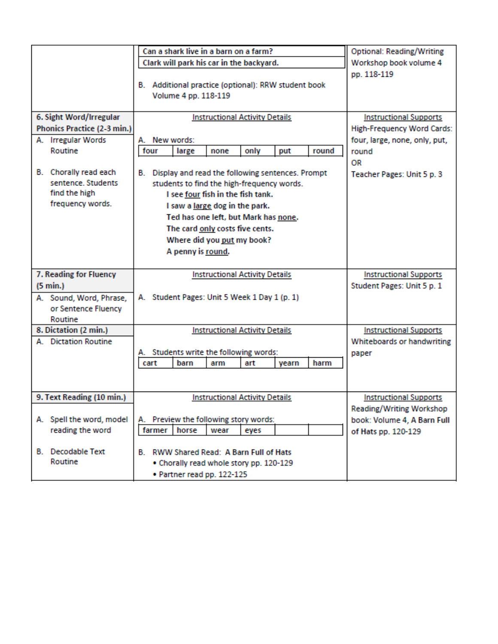|                                    | Can a shark live in a barn on a farm?                  | <b>Optional: Reading/Writing</b>  |
|------------------------------------|--------------------------------------------------------|-----------------------------------|
|                                    | Clark will park his car in the backyard.               | Workshop book volume 4            |
|                                    |                                                        | pp. 118-119                       |
|                                    | B. Additional practice (optional): RRW student book    |                                   |
|                                    | Volume 4 pp. 118-119                                   |                                   |
|                                    |                                                        |                                   |
| 6. Sight Word/Irregular            | <b>Instructional Activity Details</b>                  | <b>Instructional Supports</b>     |
| <b>Phonics Practice (2-3 min.)</b> |                                                        | <b>High-Frequency Word Cards:</b> |
| A. Irregular Words                 | New words:<br>А.                                       | four, large, none, only, put,     |
| Routine                            | four<br>only<br>large<br>none<br>put<br>round          | round                             |
|                                    |                                                        | OR                                |
| B. Chorally read each              | Display and read the following sentences. Prompt<br>В. | Teacher Pages: Unit 5 p. 3        |
| sentence. Students                 | students to find the high-frequency words.             |                                   |
| find the high                      | I see four fish in the fish tank.                      |                                   |
| frequency words.                   |                                                        |                                   |
|                                    | I saw a large dog in the park.                         |                                   |
|                                    | Ted has one left, but Mark has none.                   |                                   |
|                                    | The card only costs five cents.                        |                                   |
|                                    | Where did you put my book?                             |                                   |
|                                    | A penny is round.                                      |                                   |
|                                    |                                                        |                                   |
| 7. Reading for Fluency             | <b>Instructional Activity Details</b>                  | <b>Instructional Supports</b>     |
| (5 min.)                           |                                                        | Student Pages: Unit 5 p. 1        |
| A. Sound, Word, Phrase,            | A. Student Pages: Unit 5 Week 1 Day 1 (p. 1)           |                                   |
| or Sentence Fluency                |                                                        |                                   |
| Routine                            |                                                        |                                   |
| 8. Dictation (2 min.)              | <b>Instructional Activity Details</b>                  | <b>Instructional Supports</b>     |
| A. Dictation Routine               |                                                        | Whiteboards or handwriting        |
|                                    | A. Students write the following words:                 | paper                             |
|                                    | barn<br>harm<br>cart<br>arm<br>art<br>vearn            |                                   |
|                                    |                                                        |                                   |
|                                    |                                                        |                                   |
| 9. Text Reading (10 min.)          | <b>Instructional Activity Details</b>                  | <b>Instructional Supports</b>     |
|                                    |                                                        | <b>Reading/Writing Workshop</b>   |
| A. Spell the word, model           | A. Preview the following story words:                  | book: Volume 4, A Barn Full       |
| reading the word                   | farmer<br>horse<br>wear<br>eyes                        | of Hats pp. 120-129               |
|                                    |                                                        |                                   |
| <b>B.</b> Decodable Text           | B. RWW Shared Read: A Barn Full of Hats                |                                   |
| Routine                            | . Chorally read whole story pp. 120-129                |                                   |
|                                    | • Partner read pp. 122-125                             |                                   |
|                                    |                                                        |                                   |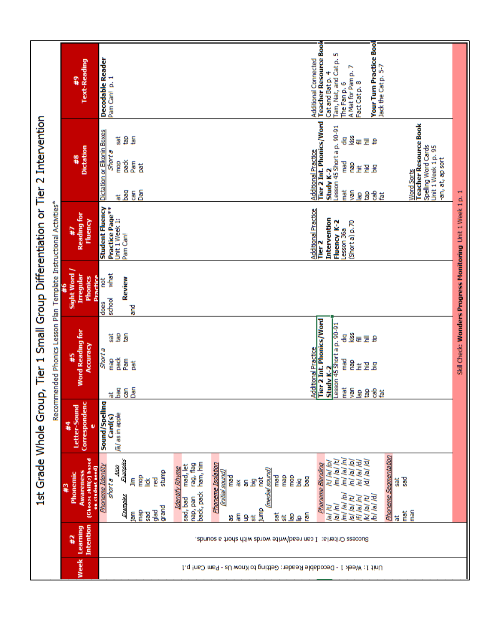|                                                                                  | Text-Reading<br>2#                                                        | Additional Connected<br>Teacher Resource Book<br><b>Your Turn Practice Boot</b><br>Jack the Cat p. 5-7<br>5<br><b>Decodable Reader</b><br>Tam, Nat, and Cat p.<br>The Fan p. 6<br>A Mat for Pam p. 7<br>Fact Cat p. 8<br>Pam Can! p. 1<br>Cat and Bat p.                                                                                                                                                                                                                                                                                                                                                                                                                                                                   |                                                            |
|----------------------------------------------------------------------------------|---------------------------------------------------------------------------|----------------------------------------------------------------------------------------------------------------------------------------------------------------------------------------------------------------------------------------------------------------------------------------------------------------------------------------------------------------------------------------------------------------------------------------------------------------------------------------------------------------------------------------------------------------------------------------------------------------------------------------------------------------------------------------------------------------------------|------------------------------------------------------------|
| 1st Grade Whole Group, Tier 1 Small Group Differentiation or Tier 2 Intervention | <b>Dictation</b><br>#8                                                    | Tier 2 Int. Phonics/Word<br><b>Teacher Resource Book</b><br><b>Study K-2</b><br>Lesson 45 Short a p. 90-91<br>Dictation or Elkonin Boxes<br>kiss<br>e<br>B<br>ã<br>용<br>建型母<br>Spelling Word Cards<br>Unit 1 Week 1p. 95<br>-an, at, ap sort<br>Shorta<br><b>Additional Practice</b><br>mop<br>pack<br>Part<br>Pat<br>mad<br>e<br>Bo<br>温温<br>ž<br>Word Sorts<br>Dan<br>mat<br>van<br>baq<br>ā<br>动负色<br>윤<br>耑                                                                                                                                                                                                                                                                                                            |                                                            |
|                                                                                  | <b>Reading for</b><br>Fluency<br>47                                       | <b>Student Fluency</b><br>Practice Page <sup>**</sup><br><b>Additional Practice</b><br>Intervention<br>Unit 1 Week 1:<br>Fluency K-2<br>Shorta) p.70<br>Lesson 36a<br>Pam Can!<br>Tier 2                                                                                                                                                                                                                                                                                                                                                                                                                                                                                                                                   | Skill Check: Wonders Progress Monitoring Unit 1 Week 1p. 1 |
|                                                                                  | Sight Word /<br>Irregular<br><b>Phonics</b><br>Practice<br>9#             | what<br>not<br>Review<br>school<br>does<br>ᇃ                                                                                                                                                                                                                                                                                                                                                                                                                                                                                                                                                                                                                                                                               |                                                            |
| Recommended Phonics Lesson Plan Template Instructional Activities*               | <b>Word Reading for</b><br>Accuracy<br>#5                                 | Tier 2 Int. Phonics/Word<br><mark>Studv K-2</mark><br>Lesson 45 Short a p. 90-91<br>kiss<br>9<br>ã<br>š<br>몽<br>eza<br>Additional Practice<br>Shorta<br>pack<br>Pam<br><b>Gew</b><br>mad<br>Tat<br>e<br>Rin<br># B B<br>Dan<br>mat<br>ξ<br>$\frac{1}{6}$<br>ā<br>e,<br>音<br><u>a</u>                                                                                                                                                                                                                                                                                                                                                                                                                                       |                                                            |
|                                                                                  | Correspondenc<br>Letter-Sound<br>#                                        | Sound/Spelling<br>/ä/ as in apple<br>Card(s)                                                                                                                                                                                                                                                                                                                                                                                                                                                                                                                                                                                                                                                                               |                                                            |
|                                                                                  | (Choose skill(s) based<br>on student need)<br>Awareness<br>Phonemic<br>#3 | Segmentation<br>Evandes<br>(m/ <i>la/ l</i> n<br>m/a/M<br>é<br>ksl hal kdl<br>kdl hal kdl<br>/t/ /a/ /p/<br>ham, him<br>rag, flag<br>Phoneme Isolation<br>Phoneme Blending<br>Phoneme Identity<br>mad, let<br>Mar<br><b>Identify Rhyme</b><br>hi/ la/<br>(medial sound)<br>(initial sound)<br>stump<br><b>Gow</b><br>e<br>S<br>e<br>Map<br>mad<br>졑<br>bag<br><b>Des</b><br>shorta<br>Ĕ<br>Ĕ<br>ĕ<br>Ĵю<br>ā<br>含<br>盏<br>ă<br>등<br>back, pack<br>Evandes<br>۹<br>k/ la/ lt/<br>h/ la/ ld/<br>Phoneme<br>nap, pan<br>Isl Ial Itl<br>Ifl Ial Inl<br>sad, bad<br>ln/ln/<br>/a/ /n/<br>grand<br>/a//t/<br>jump<br><b>Gem</b><br>glad<br>man<br>mat<br>扈<br><b>Sad</b><br>윤<br>ē<br><b>iss</b><br>틂<br>음풍<br>÷,<br>훀<br>æ<br>苊 |                                                            |
|                                                                                  | Intention<br>Learning<br>유                                                | Success Criteria: I can read/write words with short a sounds.                                                                                                                                                                                                                                                                                                                                                                                                                                                                                                                                                                                                                                                              |                                                            |
|                                                                                  | Week                                                                      | Unit 1: Week 1 - Decodable Reader: Getting to Know Us - Pam Can! p.1                                                                                                                                                                                                                                                                                                                                                                                                                                                                                                                                                                                                                                                       |                                                            |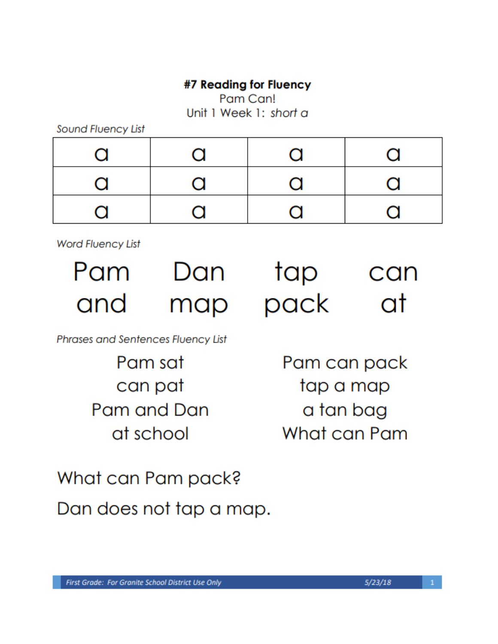## #7 Reading for Fluency

Pam Can! Unit 1 Week 1: short  $\alpha$ 

**Sound Fluency List** 

| - 1 | $\mathbf{U}$ |                | - 1 |
|-----|--------------|----------------|-----|
| 0   | 0            | $\blacksquare$ | n   |
|     | 6 H          |                | - 1 |

**Word Fluency List** 

Pam Dan and map

tap can pack at

Phrases and Sentences Fluency List

Pam sat can pat Pam and Dan at school

Pam can pack tap a map a tan bag What can Pam

What can Pam pack? Dan does not tap a map.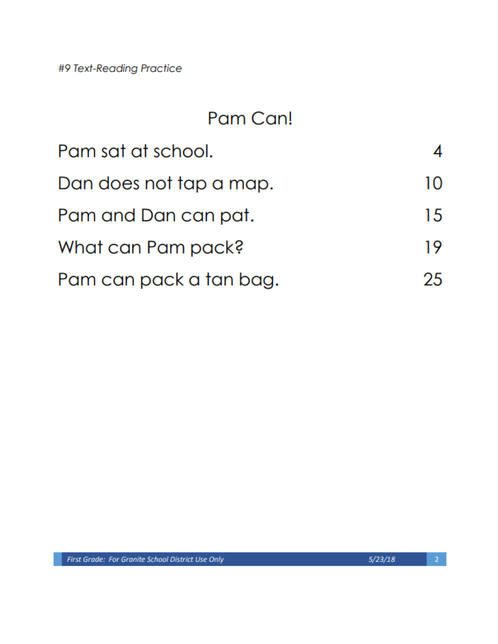#9 Text-Reading Practice

## Pam Can!

| Pam sat at school.      |     |
|-------------------------|-----|
| Dan does not tap a map. | 10  |
| Pam and Dan can pat.    | 15  |
| What can Pam pack?      | 19. |
| Pam can pack a tan bag. | 25  |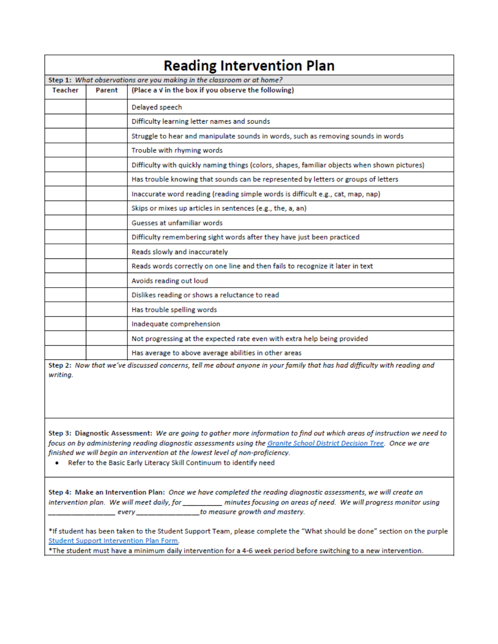|                |                                                                       | <b>Reading Intervention Plan</b>                                                             |  |  |  |  |  |  |
|----------------|-----------------------------------------------------------------------|----------------------------------------------------------------------------------------------|--|--|--|--|--|--|
|                | Step 1: What observations are you making in the classroom or at home? |                                                                                              |  |  |  |  |  |  |
| <b>Teacher</b> | Parent                                                                | (Place a V in the box if you observe the following)                                          |  |  |  |  |  |  |
|                |                                                                       | Delayed speech                                                                               |  |  |  |  |  |  |
|                |                                                                       | Difficulty learning letter names and sounds                                                  |  |  |  |  |  |  |
|                |                                                                       | Struggle to hear and manipulate sounds in words, such as removing sounds in words            |  |  |  |  |  |  |
|                |                                                                       | Trouble with rhyming words                                                                   |  |  |  |  |  |  |
|                |                                                                       | Difficulty with quickly naming things (colors, shapes, familiar objects when shown pictures) |  |  |  |  |  |  |
|                |                                                                       | Has trouble knowing that sounds can be represented by letters or groups of letters           |  |  |  |  |  |  |
|                |                                                                       | Inaccurate word reading (reading simple words is difficult e.g., cat, map, nap)              |  |  |  |  |  |  |
|                |                                                                       | Skips or mixes up articles in sentences (e.g., the, a, an)                                   |  |  |  |  |  |  |
|                |                                                                       | Guesses at unfamiliar words                                                                  |  |  |  |  |  |  |
|                |                                                                       | Difficulty remembering sight words after they have just been practiced                       |  |  |  |  |  |  |
|                |                                                                       | Reads slowly and inaccurately                                                                |  |  |  |  |  |  |
|                |                                                                       | Reads words correctly on one line and then fails to recognize it later in text               |  |  |  |  |  |  |
|                |                                                                       | Avoids reading out loud                                                                      |  |  |  |  |  |  |
|                |                                                                       | Dislikes reading or shows a reluctance to read                                               |  |  |  |  |  |  |
|                |                                                                       | Has trouble spelling words                                                                   |  |  |  |  |  |  |
|                |                                                                       | Inadequate comprehension                                                                     |  |  |  |  |  |  |
|                |                                                                       | Not progressing at the expected rate even with extra help being provided                     |  |  |  |  |  |  |
|                |                                                                       | Has average to above average abilities in other areas                                        |  |  |  |  |  |  |

Step 2: Now that we've discussed concerns, tell me about anyone in your family that has had difficulty with reading and writing.

Step 3: Diagnostic Assessment: We are going to gather more information to find out which areas of instruction we need to focus on by administering reading diagnostic assessments using the Granite School District Decision Tree. Once we are finished we will begin an intervention at the lowest level of non-proficiency.

Refer to the Basic Early Literacy Skill Continuum to identify need ٠

Step 4: Make an Intervention Plan: Once we have completed the reading diagnostic assessments, we will create an 

\*If student has been taken to the Student Support Team, please complete the "What should be done" section on the purple Student Support Intervention Plan Form.

\*The student must have a minimum daily intervention for a 4-6 week period before switching to a new intervention.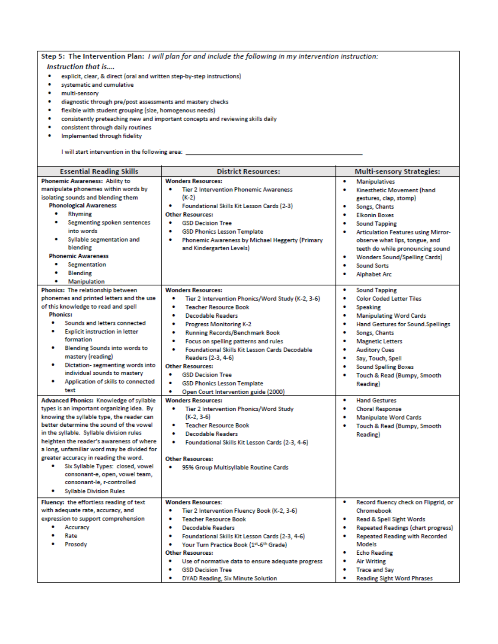Step 5: The Intervention Plan: I will plan for and include the following in my intervention instruction: **Instruction that is....** 

- explicit, clear, & direct (oral and written step-by-step instructions)
- · systematic and cumulative
- · multi-sensory
- · diagnostic through pre/post assessments and mastery checks
- flexible with student grouping (size, homogenous needs)
- . consistently preteaching new and important concepts and reviewing skills daily
- consistent through daily routines
- Implemented through fidelity ٠

I will start intervention in the following area:

| <b>Essential Reading Skills</b>                                              | <b>District Resources:</b>                                            | <b>Multi-sensory Strategies:</b>                |
|------------------------------------------------------------------------------|-----------------------------------------------------------------------|-------------------------------------------------|
|                                                                              | <b>Wonders Resources:</b>                                             |                                                 |
| <b>Phonemic Awareness: Ability to</b><br>manipulate phonemes within words by | ٠<br><b>Tier 2 Intervention Phonemic Awareness</b>                    | ٠<br><b>Manipulatives</b><br>٠                  |
| isolating sounds and blending them                                           | $(K-2)$                                                               | Kinesthetic Movement (hand                      |
| <b>Phonological Awareness</b>                                                | ۰                                                                     | gestures, clap, stomp)<br>٠                     |
| Rhyming<br>٠                                                                 | Foundational Skills Kit Lesson Cards (2-3)<br><b>Other Resources:</b> | Songs, Chants                                   |
|                                                                              | ٠                                                                     | <b>Elkonin Boxes</b><br>۰                       |
| Segmenting spoken sentences<br>into words                                    | <b>GSD Decision Tree</b><br>٠                                         | <b>Sound Tapping</b><br>٠                       |
|                                                                              | <b>GSD Phonics Lesson Template</b>                                    | <b>Articulation Features using Mirror-</b><br>٠ |
| Syllable segmentation and<br>blending                                        | ۰<br>Phonemic Awareness by Michael Heggerty (Primary                  | observe what lips, tongue, and                  |
| <b>Phonemic Awareness</b>                                                    | and Kindergarten Levels)                                              | teeth do while pronouncing sound                |
| Segmentation<br>٠                                                            |                                                                       | ٠<br><b>Wonders Sound/Spelling Cards)</b>       |
| ۰<br><b>Blending</b>                                                         |                                                                       | ۰<br><b>Sound Sorts</b>                         |
|                                                                              |                                                                       | Alphabet Arc<br>۰                               |
| Manipulation                                                                 | <b>Wonders Resources:</b>                                             | ٠                                               |
| Phonics: The relationship between                                            |                                                                       | <b>Sound Tapping</b><br>٠                       |
| phonemes and printed letters and the use                                     | Tier 2 Intervention Phonics/Word Study (K-2, 3-6)                     | <b>Color Coded Letter Tiles</b>                 |
| of this knowledge to read and spell<br><b>Phonics:</b>                       | ۰<br><b>Teacher Resource Book</b>                                     | ٠<br><b>Speaking</b>                            |
| Sounds and letters connected<br>٠                                            | <b>Decodable Readers</b><br>٠                                         | ۰<br><b>Manipulating Word Cards</b>             |
| ٠                                                                            | ٠<br>Progress Monitoring K-2                                          | ٠<br><b>Hand Gestures for Sound.Spellings</b>   |
| <b>Explicit instruction in letter</b>                                        | <b>Running Records/Benchmark Book</b><br>٠                            | ٠<br>Songs, Chants                              |
| formation<br>٠                                                               | ٠<br>Focus on spelling patterns and rules                             | ٠<br><b>Magnetic Letters</b>                    |
| <b>Blending Sounds into words to</b>                                         | <b>Foundational Skills Kit Lesson Cards Decodable</b><br>٠            | <b>Auditory Cues</b><br>٠                       |
| mastery (reading)                                                            | Readers (2-3, 4-6)                                                    | ۰<br>Say, Touch, Spell                          |
| Dictation- segmenting words into<br>٠                                        | <b>Other Resources:</b>                                               | ٠<br><b>Sound Spelling Boxes</b>                |
| individual sounds to mastery                                                 | ٠<br><b>GSD Decision Tree</b>                                         | Touch & Read (Bumpy, Smooth<br>٠                |
| Application of skills to connected                                           | <b>GSD Phonics Lesson Template</b><br>٠                               | Reading)                                        |
| text                                                                         | ٠<br>Open Court Intervention guide (2000)                             |                                                 |
| Advanced Phonics: Knowledge of syllable                                      | <b>Wonders Resources:</b>                                             | ٠<br><b>Hand Gestures</b>                       |
| types is an important organizing idea. By                                    | ٠<br>Tier 2 Intervention Phonics/Word Study                           | ٠<br><b>Choral Response</b>                     |
| knowing the syllable type, the reader can                                    | (K-2, 3-6)                                                            | ٠<br><b>Manipulate Word Cards</b>               |
| better determine the sound of the vowel                                      | <b>Teacher Resource Book</b>                                          | Touch & Read (Bumpy, Smooth<br>٠                |
| in the syllable. Syllable division rules                                     | <b>Decodable Readers</b>                                              | Reading)                                        |
| heighten the reader's awareness of where                                     | ٠<br>Foundational Skills Kit Lesson Cards (2-3, 4-6)                  |                                                 |
| a long, unfamiliar word may be divided for                                   |                                                                       |                                                 |
| greater accuracy in reading the word.                                        | <b>Other Resources:</b>                                               |                                                 |
| ٠<br>Six Syllable Types: closed, vowel                                       | ٠<br>95% Group Multisyllable Routine Cards                            |                                                 |
| consonant-e, open, vowel team,                                               |                                                                       |                                                 |
| consonant-le, r-controlled                                                   |                                                                       |                                                 |
| ٠<br><b>Syllable Division Rules</b>                                          |                                                                       |                                                 |
| Fluency: the effortless reading of text                                      | <b>Wonders Resources:</b>                                             | Record fluency check on Flipgrid, or<br>٠       |
| with adequate rate, accuracy, and                                            | ٠<br>Tier 2 Intervention Fluency Book (K-2, 3-6)                      | Chromebook                                      |
| expression to support comprehension                                          | <b>Teacher Resource Book</b><br>۰                                     | ٠<br><b>Read &amp; Spell Sight Words</b>        |
| Accuracy                                                                     | <b>Decodable Readers</b><br>٠                                         | <b>Repeated Readings (chart progress)</b><br>٠  |
| Rate                                                                         | ٠<br>Foundational Skills Kit Lesson Cards (2-3, 4-6)                  | <b>Repeated Reading with Recorded</b><br>٠      |
| Prosody                                                                      | Your Turn Practice Book (1st-6th Grade)<br>٠                          | Models                                          |
|                                                                              | <b>Other Resources:</b>                                               | ٠<br><b>Echo Reading</b>                        |
|                                                                              | ٠<br>Use of normative data to ensure adequate progress                | ٠<br><b>Air Writing</b>                         |
|                                                                              | ٠<br><b>GSD Decision Tree</b>                                         | ٠<br><b>Trace and Say</b>                       |
|                                                                              | DYAD Reading, Six Minute Solution                                     | ٠<br><b>Reading Sight Word Phrases</b>          |